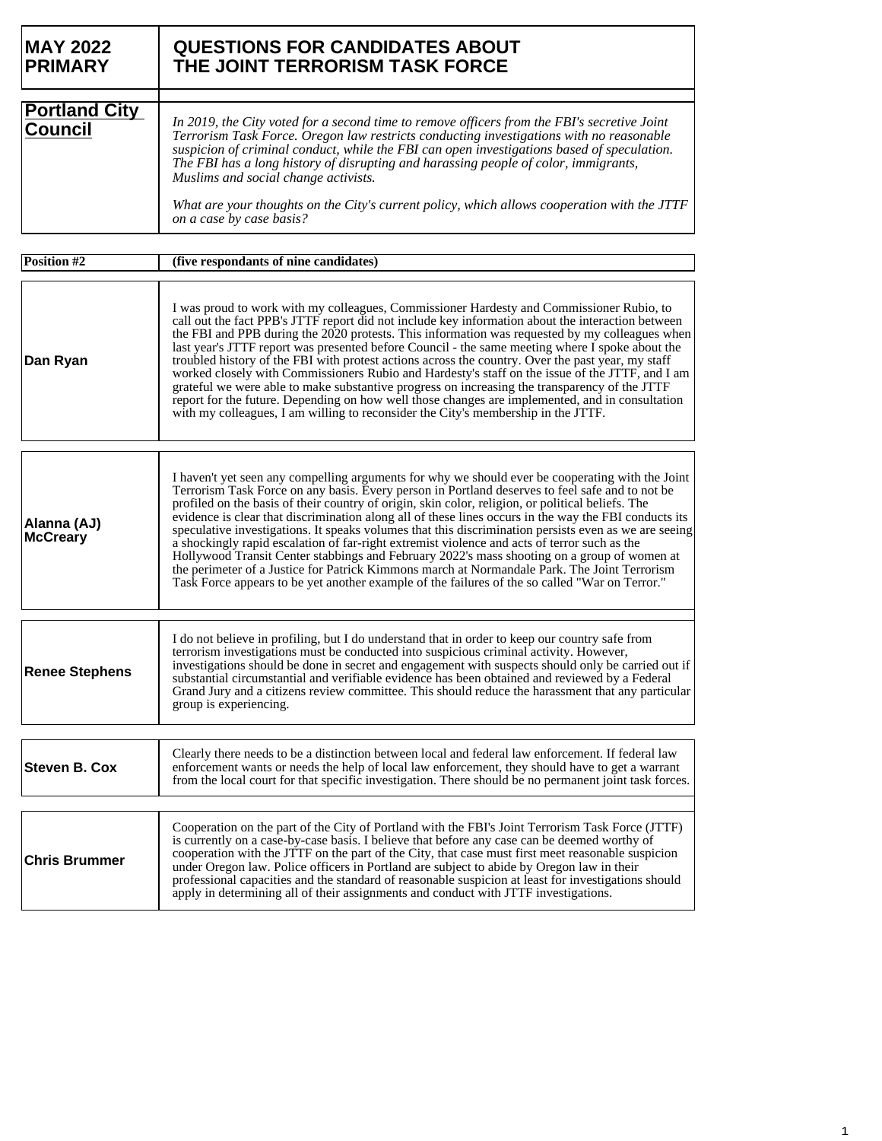| <b>MAY 2022</b><br><b>PRIMARY</b>      | <b>QUESTIONS FOR CANDIDATES ABOUT</b><br>THE JOINT TERRORISM TASK FORCE                                                                                                                                                                                                                                                                                                                                                                                                                                                                                                                                                                                                                                                                                                                                                                                                                                                     |
|----------------------------------------|-----------------------------------------------------------------------------------------------------------------------------------------------------------------------------------------------------------------------------------------------------------------------------------------------------------------------------------------------------------------------------------------------------------------------------------------------------------------------------------------------------------------------------------------------------------------------------------------------------------------------------------------------------------------------------------------------------------------------------------------------------------------------------------------------------------------------------------------------------------------------------------------------------------------------------|
| <b>Portland City</b><br><b>Council</b> | In 2019, the City voted for a second time to remove officers from the FBI's secretive Joint<br>Terrorism Task Force. Oregon law restricts conducting investigations with no reasonable<br>suspicion of criminal conduct, while the FBI can open investigations based of speculation.<br>The FBI has a long history of disrupting and harassing people of color, immigrants,<br>Muslims and social change activists.                                                                                                                                                                                                                                                                                                                                                                                                                                                                                                         |
|                                        | What are your thoughts on the City's current policy, which allows cooperation with the JTTF<br>on a case by case basis?                                                                                                                                                                                                                                                                                                                                                                                                                                                                                                                                                                                                                                                                                                                                                                                                     |
| <b>Position #2</b>                     | (five respondants of nine candidates)                                                                                                                                                                                                                                                                                                                                                                                                                                                                                                                                                                                                                                                                                                                                                                                                                                                                                       |
| Dan Ryan                               | I was proud to work with my colleagues, Commissioner Hardesty and Commissioner Rubio, to<br>call out the fact PPB's JTTF report did not include key information about the interaction between<br>the FBI and PPB during the 2020 protests. This information was requested by my colleagues when<br>last year's JTTF report was presented before Council - the same meeting where I spoke about the<br>troubled history of the FBI with protest actions across the country. Over the past year, my staff<br>worked closely with Commissioners Rubio and Hardesty's staff on the issue of the JTTF, and I am<br>grateful we were able to make substantive progress on increasing the transparency of the JTTF<br>report for the future. Depending on how well those changes are implemented, and in consultation<br>with my colleagues, I am willing to reconsider the City's membership in the JTTF.                         |
| Alanna (AJ)<br><b>McCreary</b>         | I haven't yet seen any compelling arguments for why we should ever be cooperating with the Joint<br>Terrorism Task Force on any basis. Every person in Portland deserves to feel safe and to not be<br>profiled on the basis of their country of origin, skin color, religion, or political beliefs. The<br>evidence is clear that discrimination along all of these lines occurs in the way the FBI conducts its<br>speculative investigations. It speaks volumes that this discrimination persists even as we are seeing<br>a shockingly rapid escalation of far-right extremist violence and acts of terror such as the<br>Hollywood Transit Center stabbings and February 2022's mass shooting on a group of women at<br>the perimeter of a Justice for Patrick Kimmons march at Normandale Park. The Joint Terrorism<br>Task Force appears to be yet another example of the failures of the so called "War on Terror." |
| <b>Renee Stephens</b>                  | I do not believe in profiling, but I do understand that in order to keep our country safe from<br>terrorism investigations must be conducted into suspicious criminal activity. However,<br>investigations should be done in secret and engagement with suspects should only be carried out if<br>substantial circumstantial and verifiable evidence has been obtained and reviewed by a Federal<br>Grand Jury and a citizens review committee. This should reduce the harassment that any particular<br>group is experiencing.                                                                                                                                                                                                                                                                                                                                                                                             |
| <b>Steven B. Cox</b>                   | Clearly there needs to be a distinction between local and federal law enforcement. If federal law<br>enforcement wants or needs the help of local law enforcement, they should have to get a warrant<br>from the local court for that specific investigation. There should be no permanent joint task forces.                                                                                                                                                                                                                                                                                                                                                                                                                                                                                                                                                                                                               |
| <b>Chris Brummer</b>                   | Cooperation on the part of the City of Portland with the FBI's Joint Terrorism Task Force (JTTF)<br>is currently on a case-by-case basis. I believe that before any case can be deemed worthy of<br>cooperation with the JTTF on the part of the City, that case must first meet reasonable suspicion<br>under Oregon law. Police officers in Portland are subject to abide by Oregon law in their<br>professional capacities and the standard of reasonable suspicion at least for investigations should<br>apply in determining all of their assignments and conduct with JTTF investigations.                                                                                                                                                                                                                                                                                                                            |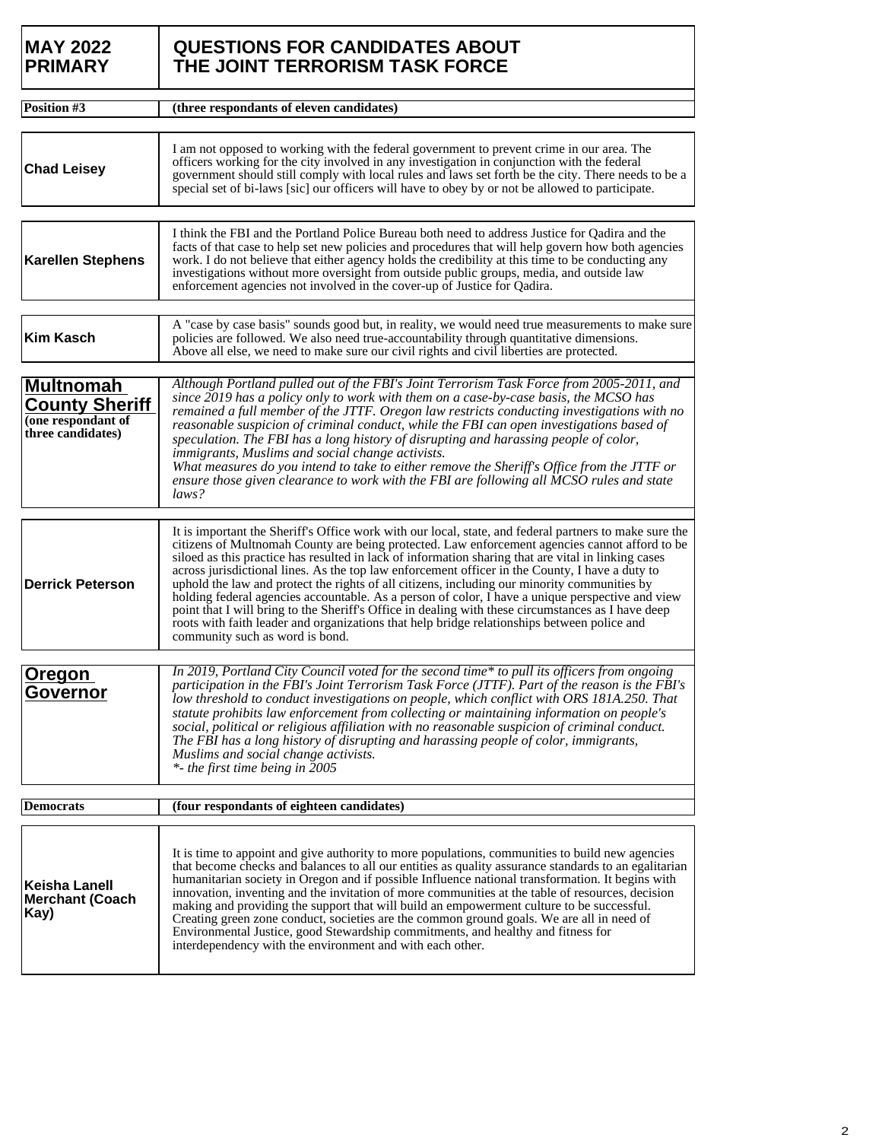| <b>MAY 2022</b><br><b>PRIMARY</b>                                                    | <b>QUESTIONS FOR CANDIDATES ABOUT</b><br>THE JOINT TERRORISM TASK FORCE                                                                                                                                                                                                                                                                                                                                                                                                                                                                                                                                                                                                                                                                                                                                                                                        |  |
|--------------------------------------------------------------------------------------|----------------------------------------------------------------------------------------------------------------------------------------------------------------------------------------------------------------------------------------------------------------------------------------------------------------------------------------------------------------------------------------------------------------------------------------------------------------------------------------------------------------------------------------------------------------------------------------------------------------------------------------------------------------------------------------------------------------------------------------------------------------------------------------------------------------------------------------------------------------|--|
| Position #3                                                                          | (three respondants of eleven candidates)                                                                                                                                                                                                                                                                                                                                                                                                                                                                                                                                                                                                                                                                                                                                                                                                                       |  |
|                                                                                      |                                                                                                                                                                                                                                                                                                                                                                                                                                                                                                                                                                                                                                                                                                                                                                                                                                                                |  |
| <b>Chad Leisey</b>                                                                   | I am not opposed to working with the federal government to prevent crime in our area. The<br>officers working for the city involved in any investigation in conjunction with the federal<br>government should still comply with local rules and laws set forth be the city. There needs to be a<br>special set of bi-laws [sic] our officers will have to obey by or not be allowed to participate.                                                                                                                                                                                                                                                                                                                                                                                                                                                            |  |
|                                                                                      |                                                                                                                                                                                                                                                                                                                                                                                                                                                                                                                                                                                                                                                                                                                                                                                                                                                                |  |
| <b>Karellen Stephens</b>                                                             | I think the FBI and the Portland Police Bureau both need to address Justice for Qadira and the<br>facts of that case to help set new policies and procedures that will help govern how both agencies<br>work. I do not believe that either agency holds the credibility at this time to be conducting any<br>investigations without more oversight from outside public groups, media, and outside law<br>enforcement agencies not involved in the cover-up of Justice for Qadira.                                                                                                                                                                                                                                                                                                                                                                              |  |
|                                                                                      |                                                                                                                                                                                                                                                                                                                                                                                                                                                                                                                                                                                                                                                                                                                                                                                                                                                                |  |
| <b>Kim Kasch</b>                                                                     | A "case by case basis" sounds good but, in reality, we would need true measurements to make sure<br>policies are followed. We also need true-accountability through quantitative dimensions.<br>Above all else, we need to make sure our civil rights and civil liberties are protected.                                                                                                                                                                                                                                                                                                                                                                                                                                                                                                                                                                       |  |
| <b>Multnomah</b><br><b>County Sheriff</b><br>(one respondant of<br>three candidates) | Although Portland pulled out of the FBI's Joint Terrorism Task Force from 2005-2011, and<br>since 2019 has a policy only to work with them on a case-by-case basis, the MCSO has<br>remained a full member of the JTTF. Oregon law restricts conducting investigations with no<br>reasonable suspicion of criminal conduct, while the FBI can open investigations based of<br>speculation. The FBI has a long history of disrupting and harassing people of color,<br>immigrants, Muslims and social change activists.<br>What measures do you intend to take to either remove the Sheriff's Office from the JTTF or<br>ensure those given clearance to work with the FBI are following all MCSO rules and state<br>laws?                                                                                                                                      |  |
|                                                                                      |                                                                                                                                                                                                                                                                                                                                                                                                                                                                                                                                                                                                                                                                                                                                                                                                                                                                |  |
| <b>Derrick Peterson</b>                                                              | It is important the Sheriff's Office work with our local, state, and federal partners to make sure the<br>citizens of Multnomah County are being protected. Law enforcement agencies cannot afford to be<br>siloed as this practice has resulted in lack of information sharing that are vital in linking cases<br>across jurisdictional lines. As the top law enforcement officer in the County, I have a duty to<br>uphold the law and protect the rights of all citizens, including our minority communities by<br>holding federal agencies accountable. As a person of color, I have a unique perspective and view<br>point that I will bring to the Sheriff's Office in dealing with these circumstances as I have deep<br>roots with faith leader and organizations that help bridge relationships between police and<br>community such as word is bond. |  |
|                                                                                      |                                                                                                                                                                                                                                                                                                                                                                                                                                                                                                                                                                                                                                                                                                                                                                                                                                                                |  |
| Oregon<br>Governor                                                                   | In 2019, Portland City Council voted for the second time* to pull its officers from ongoing<br>participation in the FBI's Joint Terrorism Task Force (JTTF). Part of the reason is the FBI's<br>low threshold to conduct investigations on people, which conflict with ORS 181A.250. That<br>statute prohibits law enforcement from collecting or maintaining information on people's<br>social, political or religious affiliation with no reasonable suspicion of criminal conduct.<br>The FBI has a long history of disrupting and harassing people of color, immigrants,<br>Muslims and social change activists.<br>*- the first time being in $2005$                                                                                                                                                                                                      |  |
| <b>Democrats</b>                                                                     | (four respondants of eighteen candidates)                                                                                                                                                                                                                                                                                                                                                                                                                                                                                                                                                                                                                                                                                                                                                                                                                      |  |
|                                                                                      |                                                                                                                                                                                                                                                                                                                                                                                                                                                                                                                                                                                                                                                                                                                                                                                                                                                                |  |
| <b>Keisha Lanell</b><br><b>Merchant (Coach</b><br>Kay)                               | It is time to appoint and give authority to more populations, communities to build new agencies<br>that become checks and balances to all our entities as quality assurance standards to an egalitarian<br>humanitarian society in Oregon and if possible Influence national transformation. It begins with<br>innovation, inventing and the invitation of more communities at the table of resources, decision<br>making and providing the support that will build an empowerment culture to be successful.<br>Creating green zone conduct, societies are the common ground goals. We are all in need of<br>Environmental Justice, good Stewardship commitments, and healthy and fitness for<br>interdependency with the environment and with each other.                                                                                                     |  |

Τ

ī